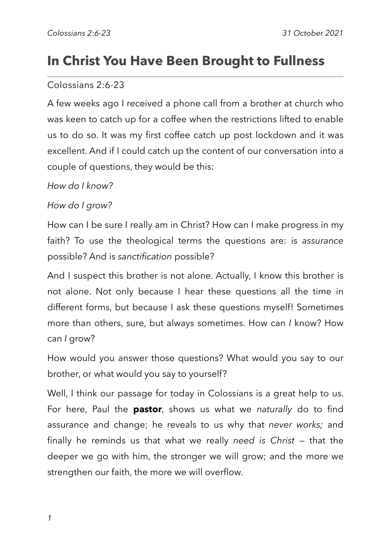# **In Christ You Have Been Brought to Fullness**

#### Colossians 2:6-23

A few weeks ago I received a phone call from a brother at church who was keen to catch up for a coffee when the restrictions lifted to enable us to do so. It was my first coffee catch up post lockdown and it was excellent. And if I could catch up the content of our conversation into a couple of questions, they would be this:

#### *How do I know?*

#### *How do I grow?*

How can I be sure I really am in Christ? How can I make progress in my faith? To use the theological terms the questions are: is *assurance* possible? And is *sanctification* possible?

And I suspect this brother is not alone. Actually, I know this brother is not alone. Not only because I hear these questions all the time in different forms, but because I ask these questions myself! Sometimes more than others, sure, but always sometimes. How can *I* know? How can *I* grow?

How would you answer those questions? What would you say to our brother, or what would you say to yourself?

Well, I think our passage for today in Colossians is a great help to us. For here, Paul the **pastor**, shows us what we *naturally* do to find assurance and change; he reveals to us why that *never works;* and finally he reminds us that what we really *need is Christ* — that the deeper we go with him, the stronger we will grow; and the more we strengthen our faith, the more we will overflow.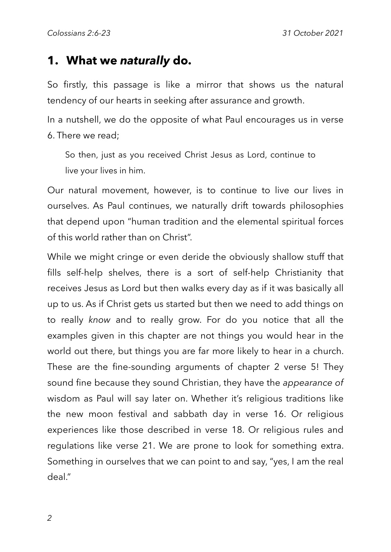### **1. What we** *naturally* **do.**

So firstly, this passage is like a mirror that shows us the natural tendency of our hearts in seeking after assurance and growth.

In a nutshell, we do the opposite of what Paul encourages us in verse 6. There we read;

So then, just as you received Christ Jesus as Lord, continue to live your lives in him.

Our natural movement, however, is to continue to live our lives in ourselves. As Paul continues, we naturally drift towards philosophies that depend upon "human tradition and the elemental spiritual forces of this world rather than on Christ".

While we might cringe or even deride the obviously shallow stuff that fills self-help shelves, there is a sort of self-help Christianity that receives Jesus as Lord but then walks every day as if it was basically all up to us. As if Christ gets us started but then we need to add things on to really *know* and to really grow. For do you notice that all the examples given in this chapter are not things you would hear in the world out there, but things you are far more likely to hear in a church. These are the fine-sounding arguments of chapter 2 verse 5! They sound fine because they sound Christian, they have the *appearance of*  wisdom as Paul will say later on. Whether it's religious traditions like the new moon festival and sabbath day in verse 16. Or religious experiences like those described in verse 18. Or religious rules and regulations like verse 21. We are prone to look for something extra. Something in ourselves that we can point to and say, "yes, I am the real deal."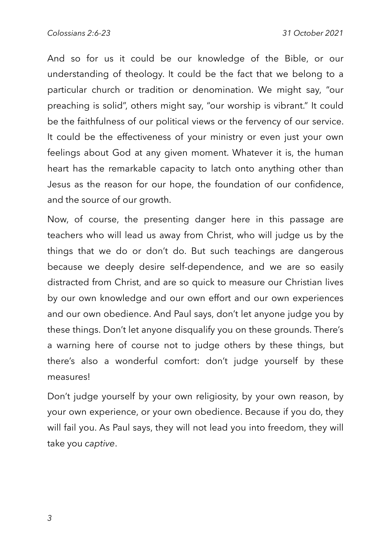And so for us it could be our knowledge of the Bible, or our understanding of theology. It could be the fact that we belong to a particular church or tradition or denomination. We might say, "our preaching is solid", others might say, "our worship is vibrant." It could be the faithfulness of our political views or the fervency of our service. It could be the effectiveness of your ministry or even just your own feelings about God at any given moment. Whatever it is, the human heart has the remarkable capacity to latch onto anything other than Jesus as the reason for our hope, the foundation of our confidence, and the source of our growth.

Now, of course, the presenting danger here in this passage are teachers who will lead us away from Christ, who will judge us by the things that we do or don't do. But such teachings are dangerous because we deeply desire self-dependence, and we are so easily distracted from Christ, and are so quick to measure our Christian lives by our own knowledge and our own effort and our own experiences and our own obedience. And Paul says, don't let anyone judge you by these things. Don't let anyone disqualify you on these grounds. There's a warning here of course not to judge others by these things, but there's also a wonderful comfort: don't judge yourself by these measures!

Don't judge yourself by your own religiosity, by your own reason, by your own experience, or your own obedience. Because if you do, they will fail you. As Paul says, they will not lead you into freedom, they will take you *captive*.

*3*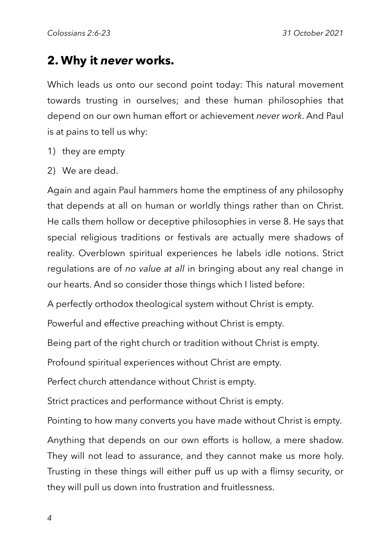### **2. Why it** *never* **works.**

Which leads us onto our second point today: This natural movement towards trusting in ourselves; and these human philosophies that depend on our own human effort or achievement *never work*. And Paul is at pains to tell us why:

- 1) they are empty
- 2) We are dead.

Again and again Paul hammers home the emptiness of any philosophy that depends at all on human or worldly things rather than on Christ. He calls them hollow or deceptive philosophies in verse 8. He says that special religious traditions or festivals are actually mere shadows of reality. Overblown spiritual experiences he labels idle notions. Strict regulations are of *no value at all* in bringing about any real change in our hearts. And so consider those things which I listed before:

A perfectly orthodox theological system without Christ is empty.

Powerful and effective preaching without Christ is empty.

Being part of the right church or tradition without Christ is empty.

Profound spiritual experiences without Christ are empty.

Perfect church attendance without Christ is empty.

Strict practices and performance without Christ is empty.

Pointing to how many converts you have made without Christ is empty.

Anything that depends on our own efforts is hollow, a mere shadow. They will not lead to assurance, and they cannot make us more holy. Trusting in these things will either puff us up with a flimsy security, or they will pull us down into frustration and fruitlessness.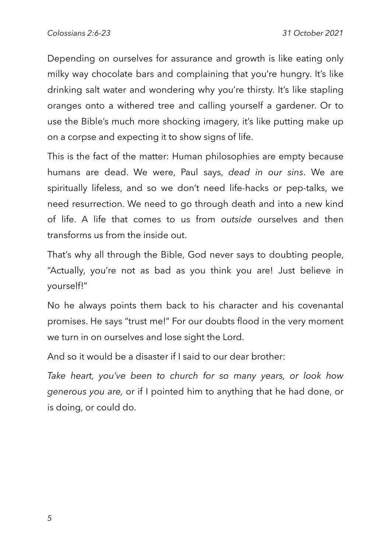Depending on ourselves for assurance and growth is like eating only milky way chocolate bars and complaining that you're hungry. It's like drinking salt water and wondering why you're thirsty. It's like stapling oranges onto a withered tree and calling yourself a gardener. Or to use the Bible's much more shocking imagery, it's like putting make up on a corpse and expecting it to show signs of life.

This is the fact of the matter: Human philosophies are empty because humans are dead. We were, Paul says, *dead in our sins*. We are spiritually lifeless, and so we don't need life-hacks or pep-talks, we need resurrection. We need to go through death and into a new kind of life. A life that comes to us from *outside* ourselves and then transforms us from the inside out.

That's why all through the Bible, God never says to doubting people, "Actually, you're not as bad as you think you are! Just believe in yourself!"

No he always points them back to his character and his covenantal promises. He says "trust me!" For our doubts flood in the very moment we turn in on ourselves and lose sight the Lord.

And so it would be a disaster if I said to our dear brother:

*Take heart, you've been to church for so many years, or look how generous you are,* or if I pointed him to anything that he had done, or is doing, or could do.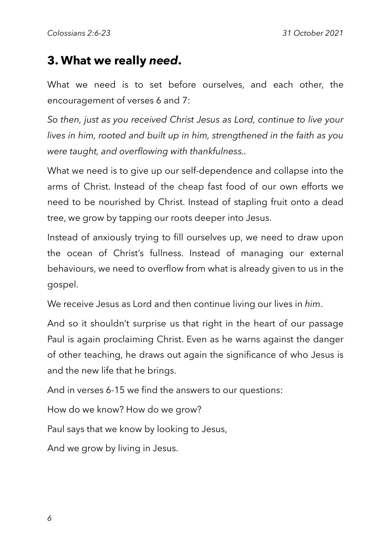## **3. What we really** *need***.**

What we need is to set before ourselves, and each other, the encouragement of verses 6 and 7:

*So then, just as you received Christ Jesus as Lord, continue to live your lives in him, rooted and built up in him, strengthened in the faith as you were taught, and overflowing with thankfulness..*

What we need is to give up our self-dependence and collapse into the arms of Christ. Instead of the cheap fast food of our own efforts we need to be nourished by Christ. Instead of stapling fruit onto a dead tree, we grow by tapping our roots deeper into Jesus.

Instead of anxiously trying to fill ourselves up, we need to draw upon the ocean of Christ's fullness. Instead of managing our external behaviours, we need to overflow from what is already given to us in the gospel.

We receive Jesus as Lord and then continue living our lives in *him*.

And so it shouldn't surprise us that right in the heart of our passage Paul is again proclaiming Christ. Even as he warns against the danger of other teaching, he draws out again the significance of who Jesus is and the new life that he brings.

And in verses 6-15 we find the answers to our questions:

How do we know? How do we grow?

Paul says that we know by looking to Jesus,

And we grow by living in Jesus.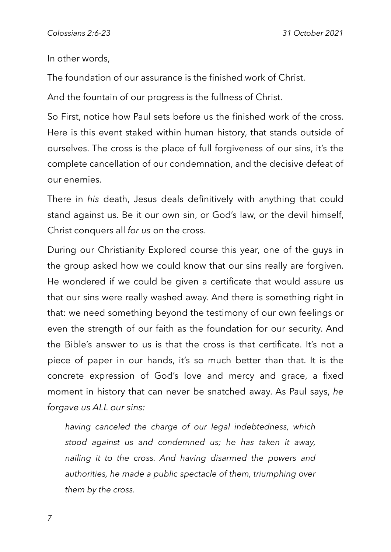In other words,

The foundation of our assurance is the finished work of Christ.

And the fountain of our progress is the fullness of Christ.

So First, notice how Paul sets before us the finished work of the cross. Here is this event staked within human history, that stands outside of ourselves. The cross is the place of full forgiveness of our sins, it's the complete cancellation of our condemnation, and the decisive defeat of our enemies.

There in *his* death, Jesus deals definitively with anything that could stand against us. Be it our own sin, or God's law, or the devil himself, Christ conquers all *for us* on the cross.

During our Christianity Explored course this year, one of the guys in the group asked how we could know that our sins really are forgiven. He wondered if we could be given a certificate that would assure us that our sins were really washed away. And there is something right in that: we need something beyond the testimony of our own feelings or even the strength of our faith as the foundation for our security. And the Bible's answer to us is that the cross is that certificate. It's not a piece of paper in our hands, it's so much better than that. It is the concrete expression of God's love and mercy and grace, a fixed moment in history that can never be snatched away. As Paul says, *he forgave us ALL our sins:*

*having canceled the charge of our legal indebtedness, which stood against us and condemned us; he has taken it away, nailing it to the cross. And having disarmed the powers and authorities, he made a public spectacle of them, triumphing over them by the cross.*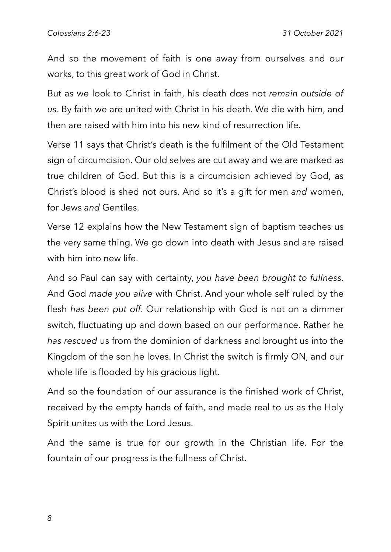And so the movement of faith is one away from ourselves and our works, to this great work of God in Christ.

But as we look to Christ in faith, his death does not *remain outside of us*. By faith we are united with Christ in his death. We die with him, and then are raised with him into his new kind of resurrection life.

Verse 11 says that Christ's death is the fulfilment of the Old Testament sign of circumcision. Our old selves are cut away and we are marked as true children of God. But this is a circumcision achieved by God, as Christ's blood is shed not ours. And so it's a gift for men *and* women, for Jews *and* Gentiles.

Verse 12 explains how the New Testament sign of baptism teaches us the very same thing. We go down into death with Jesus and are raised with him into new life.

And so Paul can say with certainty, *you have been brought to fullness*. And God *made you alive* with Christ. And your whole self ruled by the flesh *has been put off*. Our relationship with God is not on a dimmer switch, fluctuating up and down based on our performance. Rather he *has rescued* us from the dominion of darkness and brought us into the Kingdom of the son he loves. In Christ the switch is firmly ON, and our whole life is flooded by his gracious light.

And so the foundation of our assurance is the finished work of Christ, received by the empty hands of faith, and made real to us as the Holy Spirit unites us with the Lord Jesus.

And the same is true for our growth in the Christian life. For the fountain of our progress is the fullness of Christ.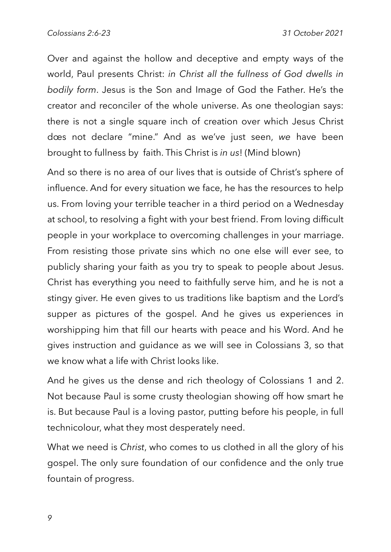Over and against the hollow and deceptive and empty ways of the world, Paul presents Christ: *in Christ all the fullness of God dwells in bodily form*. Jesus is the Son and Image of God the Father. He's the creator and reconciler of the whole universe. As one theologian says: there is not a single square inch of creation over which Jesus Christ does not declare "mine." And as we've just seen, *we* have been brought to fullness by faith. This Christ is *in us*! (Mind blown)

And so there is no area of our lives that is outside of Christ's sphere of influence. And for every situation we face, he has the resources to help us. From loving your terrible teacher in a third period on a Wednesday at school, to resolving a fight with your best friend. From loving difficult people in your workplace to overcoming challenges in your marriage. From resisting those private sins which no one else will ever see, to publicly sharing your faith as you try to speak to people about Jesus. Christ has everything you need to faithfully serve him, and he is not a stingy giver. He even gives to us traditions like baptism and the Lord's supper as pictures of the gospel. And he gives us experiences in worshipping him that fill our hearts with peace and his Word. And he gives instruction and guidance as we will see in Colossians 3, so that we know what a life with Christ looks like.

And he gives us the dense and rich theology of Colossians 1 and 2. Not because Paul is some crusty theologian showing off how smart he is. But because Paul is a loving pastor, putting before his people, in full technicolour, what they most desperately need.

What we need is *Christ*, who comes to us clothed in all the glory of his gospel. The only sure foundation of our confidence and the only true fountain of progress.